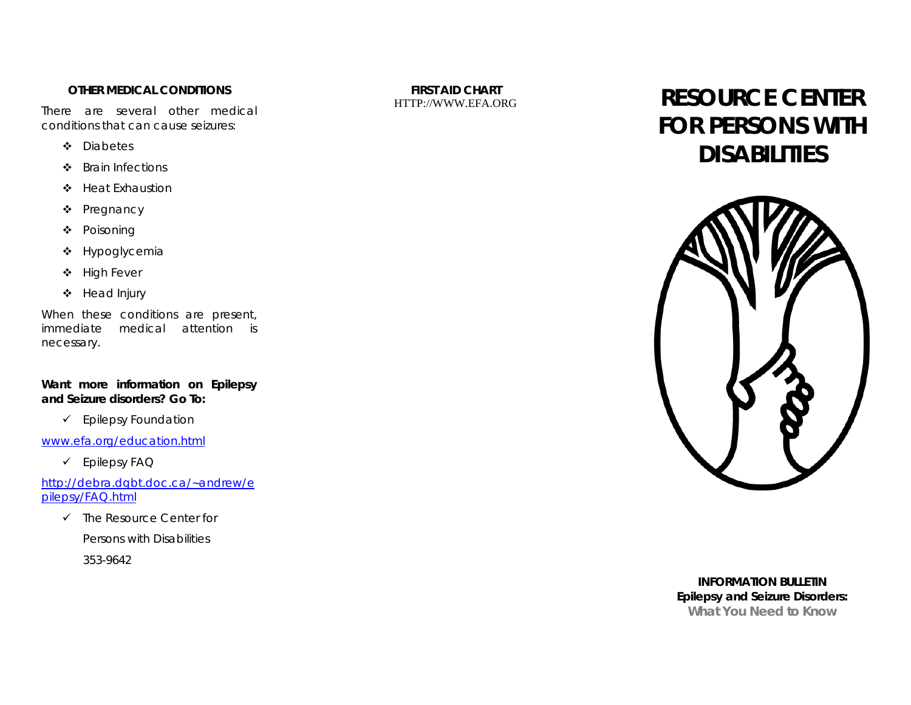### **OTHER MEDICAL CONDITIONS**

There are several other medical conditions that can cause seizures:

- ❖ Diabetes
- ❖ Brain Infections
- ❖ Heat Exhaustion
- ❖ Pregnancy
- ❖ Poisoning
- ❖ Hypoglycemia
- $\clubsuit$  High Fever
- ❖ Head Injury

When these conditions are present, immediate medical attention is necessary.

*Want more information on Epilepsy and Seizure disorders? Go To:* 

 $\checkmark$  Epilepsy Foundation

[www.efa.org/education.html](http://www.efa.org/education.html)

 $\checkmark$  Epilepsy FAQ

[http://debra.dgbt.doc.ca/~andrew/e](http://debra.dgbt.doc.ca/%7Eandrew/epilepsy/FAQ.html) [pilepsy/FAQ.html](http://debra.dgbt.doc.ca/%7Eandrew/epilepsy/FAQ.html)

 $\checkmark$  The Resource Center for

Persons with Disabilities

353-9642

**FIRST AID CHART** 

# FIRST AID CHART **RESOURCE CENTER FOR PERSONS WITH DISABILITIES**



*INFORMATION BULLETIN* **Epilepsy and Seizure Disorders: What You Need to Know**